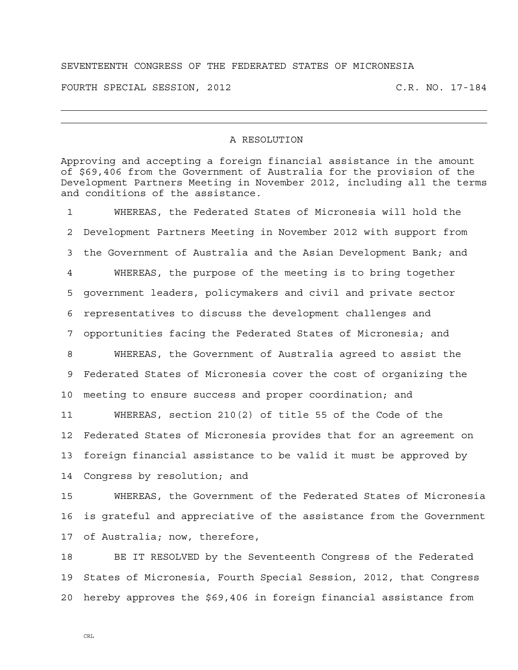## SEVENTEENTH CONGRESS OF THE FEDERATED STATES OF MICRONESIA

FOURTH SPECIAL SESSION, 2012 C.R. NO. 17-184

## A RESOLUTION

Approving and accepting a foreign financial assistance in the amount of \$69,406 from the Government of Australia for the provision of the Development Partners Meeting in November 2012, including all the terms and conditions of the assistance.

1 WHEREAS, the Federated States of Micronesia will hold the 2 Development Partners Meeting in November 2012 with support from 3 the Government of Australia and the Asian Development Bank; and 4 WHEREAS, the purpose of the meeting is to bring together 5 government leaders, policymakers and civil and private sector 6 representatives to discuss the development challenges and 7 opportunities facing the Federated States of Micronesia; and 8 WHEREAS, the Government of Australia agreed to assist the 9 Federated States of Micronesia cover the cost of organizing the 10 meeting to ensure success and proper coordination; and 11 WHEREAS, section 210(2) of title 55 of the Code of the 12 Federated States of Micronesia provides that for an agreement on 13 foreign financial assistance to be valid it must be approved by 14 Congress by resolution; and

15 WHEREAS, the Government of the Federated States of Micronesia 16 is grateful and appreciative of the assistance from the Government 17 of Australia; now, therefore,

18 BE IT RESOLVED by the Seventeenth Congress of the Federated 19 States of Micronesia, Fourth Special Session, 2012, that Congress 20 hereby approves the \$69,406 in foreign financial assistance from

CRL